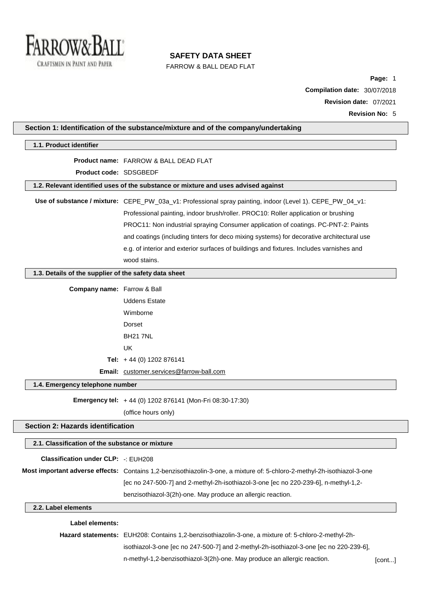

FARROW & BALL DEAD FLAT

**Page:** 1 **Compilation date:** 30/07/2018 **Revision date:** 07/2021 **Revision No:** 5

| Professional painting, indoor brush/roller. PROC10: Roller application or brushing        |                                                                                                                                                                                                                                                                                                                                                                                                                                                                                                                                                                                                                                                                                                                                                                                                                                                                                                                                                                                                                                                                                                                                                                                                                                                                 |
|-------------------------------------------------------------------------------------------|-----------------------------------------------------------------------------------------------------------------------------------------------------------------------------------------------------------------------------------------------------------------------------------------------------------------------------------------------------------------------------------------------------------------------------------------------------------------------------------------------------------------------------------------------------------------------------------------------------------------------------------------------------------------------------------------------------------------------------------------------------------------------------------------------------------------------------------------------------------------------------------------------------------------------------------------------------------------------------------------------------------------------------------------------------------------------------------------------------------------------------------------------------------------------------------------------------------------------------------------------------------------|
| PROC11: Non industrial spraying Consumer application of coatings. PC-PNT-2: Paints        |                                                                                                                                                                                                                                                                                                                                                                                                                                                                                                                                                                                                                                                                                                                                                                                                                                                                                                                                                                                                                                                                                                                                                                                                                                                                 |
| and coatings (including tinters for deco mixing systems) for decorative architectural use |                                                                                                                                                                                                                                                                                                                                                                                                                                                                                                                                                                                                                                                                                                                                                                                                                                                                                                                                                                                                                                                                                                                                                                                                                                                                 |
| e.g. of interior and exterior surfaces of buildings and fixtures. Includes varnishes and  |                                                                                                                                                                                                                                                                                                                                                                                                                                                                                                                                                                                                                                                                                                                                                                                                                                                                                                                                                                                                                                                                                                                                                                                                                                                                 |
| wood stains.                                                                              |                                                                                                                                                                                                                                                                                                                                                                                                                                                                                                                                                                                                                                                                                                                                                                                                                                                                                                                                                                                                                                                                                                                                                                                                                                                                 |
|                                                                                           |                                                                                                                                                                                                                                                                                                                                                                                                                                                                                                                                                                                                                                                                                                                                                                                                                                                                                                                                                                                                                                                                                                                                                                                                                                                                 |
|                                                                                           |                                                                                                                                                                                                                                                                                                                                                                                                                                                                                                                                                                                                                                                                                                                                                                                                                                                                                                                                                                                                                                                                                                                                                                                                                                                                 |
| <b>Uddens Estate</b>                                                                      |                                                                                                                                                                                                                                                                                                                                                                                                                                                                                                                                                                                                                                                                                                                                                                                                                                                                                                                                                                                                                                                                                                                                                                                                                                                                 |
| Wimborne                                                                                  |                                                                                                                                                                                                                                                                                                                                                                                                                                                                                                                                                                                                                                                                                                                                                                                                                                                                                                                                                                                                                                                                                                                                                                                                                                                                 |
| Dorset                                                                                    |                                                                                                                                                                                                                                                                                                                                                                                                                                                                                                                                                                                                                                                                                                                                                                                                                                                                                                                                                                                                                                                                                                                                                                                                                                                                 |
| <b>BH21 7NL</b>                                                                           |                                                                                                                                                                                                                                                                                                                                                                                                                                                                                                                                                                                                                                                                                                                                                                                                                                                                                                                                                                                                                                                                                                                                                                                                                                                                 |
| <b>UK</b>                                                                                 |                                                                                                                                                                                                                                                                                                                                                                                                                                                                                                                                                                                                                                                                                                                                                                                                                                                                                                                                                                                                                                                                                                                                                                                                                                                                 |
|                                                                                           |                                                                                                                                                                                                                                                                                                                                                                                                                                                                                                                                                                                                                                                                                                                                                                                                                                                                                                                                                                                                                                                                                                                                                                                                                                                                 |
|                                                                                           |                                                                                                                                                                                                                                                                                                                                                                                                                                                                                                                                                                                                                                                                                                                                                                                                                                                                                                                                                                                                                                                                                                                                                                                                                                                                 |
|                                                                                           |                                                                                                                                                                                                                                                                                                                                                                                                                                                                                                                                                                                                                                                                                                                                                                                                                                                                                                                                                                                                                                                                                                                                                                                                                                                                 |
|                                                                                           |                                                                                                                                                                                                                                                                                                                                                                                                                                                                                                                                                                                                                                                                                                                                                                                                                                                                                                                                                                                                                                                                                                                                                                                                                                                                 |
| (office hours only)                                                                       |                                                                                                                                                                                                                                                                                                                                                                                                                                                                                                                                                                                                                                                                                                                                                                                                                                                                                                                                                                                                                                                                                                                                                                                                                                                                 |
|                                                                                           |                                                                                                                                                                                                                                                                                                                                                                                                                                                                                                                                                                                                                                                                                                                                                                                                                                                                                                                                                                                                                                                                                                                                                                                                                                                                 |
|                                                                                           |                                                                                                                                                                                                                                                                                                                                                                                                                                                                                                                                                                                                                                                                                                                                                                                                                                                                                                                                                                                                                                                                                                                                                                                                                                                                 |
|                                                                                           |                                                                                                                                                                                                                                                                                                                                                                                                                                                                                                                                                                                                                                                                                                                                                                                                                                                                                                                                                                                                                                                                                                                                                                                                                                                                 |
|                                                                                           |                                                                                                                                                                                                                                                                                                                                                                                                                                                                                                                                                                                                                                                                                                                                                                                                                                                                                                                                                                                                                                                                                                                                                                                                                                                                 |
|                                                                                           |                                                                                                                                                                                                                                                                                                                                                                                                                                                                                                                                                                                                                                                                                                                                                                                                                                                                                                                                                                                                                                                                                                                                                                                                                                                                 |
|                                                                                           |                                                                                                                                                                                                                                                                                                                                                                                                                                                                                                                                                                                                                                                                                                                                                                                                                                                                                                                                                                                                                                                                                                                                                                                                                                                                 |
|                                                                                           |                                                                                                                                                                                                                                                                                                                                                                                                                                                                                                                                                                                                                                                                                                                                                                                                                                                                                                                                                                                                                                                                                                                                                                                                                                                                 |
|                                                                                           |                                                                                                                                                                                                                                                                                                                                                                                                                                                                                                                                                                                                                                                                                                                                                                                                                                                                                                                                                                                                                                                                                                                                                                                                                                                                 |
|                                                                                           |                                                                                                                                                                                                                                                                                                                                                                                                                                                                                                                                                                                                                                                                                                                                                                                                                                                                                                                                                                                                                                                                                                                                                                                                                                                                 |
|                                                                                           |                                                                                                                                                                                                                                                                                                                                                                                                                                                                                                                                                                                                                                                                                                                                                                                                                                                                                                                                                                                                                                                                                                                                                                                                                                                                 |
| n-methyl-1,2-benzisothiazol-3(2h)-one. May produce an allergic reaction.                  | [cont]                                                                                                                                                                                                                                                                                                                                                                                                                                                                                                                                                                                                                                                                                                                                                                                                                                                                                                                                                                                                                                                                                                                                                                                                                                                          |
|                                                                                           | Section 1: Identification of the substance/mixture and of the company/undertaking<br>Product name: FARROW & BALL DEAD FLAT<br>Product code: SDSGBEDF<br>1.2. Relevant identified uses of the substance or mixture and uses advised against<br>Use of substance / mixture: CEPE_PW_03a_v1: Professional spray painting, indoor (Level 1). CEPE_PW_04_v1:<br>1.3. Details of the supplier of the safety data sheet<br><b>Company name:</b> Farrow & Ball<br>Tel: $+44$ (0) 1202 876141<br>Email: customer.services@farrow-ball.com<br>1.4. Emergency telephone number<br>Emergency tel: +44 (0) 1202 876141 (Mon-Fri 08:30-17:30)<br><b>Section 2: Hazards identification</b><br>2.1. Classification of the substance or mixture<br><b>Classification under CLP: -: EUH208</b><br>Most important adverse effects: Contains 1,2-benzisothiazolin-3-one, a mixture of: 5-chloro-2-methyl-2h-isothiazol-3-one<br>[ec no 247-500-7] and 2-methyl-2h-isothiazol-3-one [ec no 220-239-6], n-methyl-1,2-<br>benzisothiazol-3(2h)-one. May produce an allergic reaction.<br>Hazard statements: EUH208: Contains 1,2-benzisothiazolin-3-one, a mixture of: 5-chloro-2-methyl-2h-<br>isothiazol-3-one [ec no 247-500-7] and 2-methyl-2h-isothiazol-3-one [ec no 220-239-6], |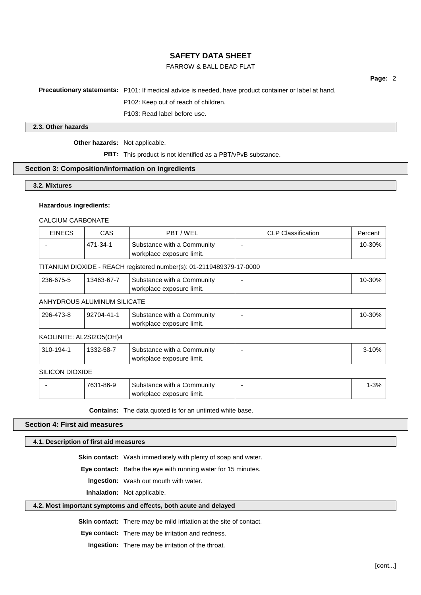# FARROW & BALL DEAD FLAT

**Page:** 2

**Precautionary statements:** P101: If medical advice is needed, have product container or label at hand.

P102: Keep out of reach of children.

P103: Read label before use.

### **2.3. Other hazards**

**Other hazards:** Not applicable.

**PBT:** This product is not identified as a PBT/vPvB substance.

## **Section 3: Composition/information on ingredients**

**3.2. Mixtures**

### **Hazardous ingredients:**

CALCIUM CARBONATE

| <b>EINECS</b> | CAS      | PBT / WEL                                               | <b>CLP Classification</b> | Percent |
|---------------|----------|---------------------------------------------------------|---------------------------|---------|
|               | 471-34-1 | Substance with a Community<br>workplace exposure limit. |                           | 10-30%  |

### TITANIUM DIOXIDE - REACH registered number(s): 01-2119489379-17-0000

| 236-675-5 | 13463-67-7 | <b>Substance with a Community</b> | 10-30% |
|-----------|------------|-----------------------------------|--------|
|           |            | workplace exposure limit.         |        |

## ANHYDROUS ALUMINUM SILICATE

| 296-473-8 | 92704-41-1 | <b>Substance with a Community</b> |  |
|-----------|------------|-----------------------------------|--|
|           |            | workplace exposure limit.         |  |

# KAOLINITE: AL2SI2O5(OH)4

| 310-194-1       | 1332-58-7 | Substance with a Community<br>workplace exposure limit. | 3-10% |
|-----------------|-----------|---------------------------------------------------------|-------|
| SILICON DIOXIDE |           |                                                         |       |

| 1-86-9<br>700 | Substance with a Community | 00 <sup>1</sup><br>7٥ |
|---------------|----------------------------|-----------------------|
|               | workplace exposure limit.  |                       |

**Contains:** The data quoted is for an untinted white base.

## **Section 4: First aid measures**

**4.1. Description of first aid measures**

**Skin contact:** Wash immediately with plenty of soap and water.

**Eye contact:** Bathe the eye with running water for 15 minutes.

**Ingestion:** Wash out mouth with water.

**Inhalation:** Not applicable.

## **4.2. Most important symptoms and effects, both acute and delayed**

**Skin contact:** There may be mild irritation at the site of contact.

**Eye contact:** There may be irritation and redness.

**Ingestion:** There may be irritation of the throat.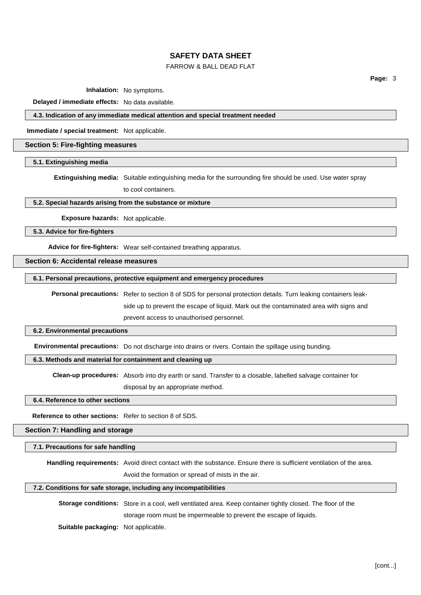# FARROW & BALL DEAD FLAT

**Page:** 3

**Inhalation:** No symptoms.

**Delayed / immediate effects:** No data available.

## **4.3. Indication of any immediate medical attention and special treatment needed**

**Immediate / special treatment:** Not applicable.

## **Section 5: Fire-fighting measures**

**5.1. Extinguishing media**

**Extinguishing media:** Suitable extinguishing media for the surrounding fire should be used. Use water spray to cool containers.

# **5.2. Special hazards arising from the substance or mixture**

**Exposure hazards:** Not applicable.

**5.3. Advice for fire-fighters**

**Advice for fire-fighters:** Wear self-contained breathing apparatus.

## **Section 6: Accidental release measures**

## **6.1. Personal precautions, protective equipment and emergency procedures**

**Personal precautions:** Refer to section 8 of SDS for personal protection details. Turn leaking containers leakside up to prevent the escape of liquid. Mark out the contaminated area with signs and prevent access to unauthorised personnel.

### **6.2. Environmental precautions**

**Environmental precautions:** Do not discharge into drains or rivers. Contain the spillage using bunding.

## **6.3. Methods and material for containment and cleaning up**

**Clean-up procedures:** Absorb into dry earth or sand. Transfer to a closable, labelled salvage container for disposal by an appropriate method.

### **6.4. Reference to other sections**

**Reference to other sections:** Refer to section 8 of SDS.

**Section 7: Handling and storage**

# **7.1. Precautions for safe handling**

**Handling requirements:** Avoid direct contact with the substance. Ensure there is sufficient ventilation of the area.

Avoid the formation or spread of mists in the air.

## **7.2. Conditions for safe storage, including any incompatibilities**

**Storage conditions:** Store in a cool, well ventilated area. Keep container tightly closed. The floor of the

storage room must be impermeable to prevent the escape of liquids.

**Suitable packaging:** Not applicable.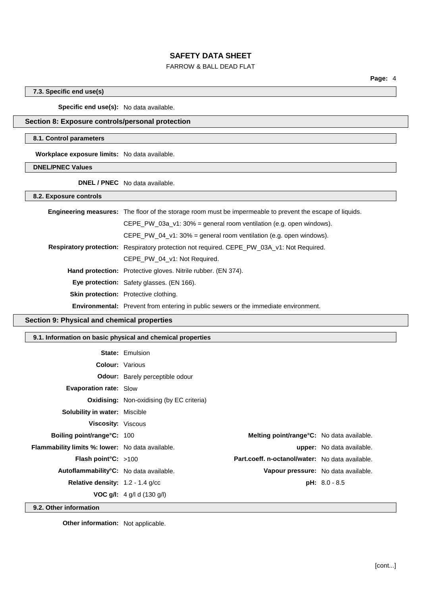# FARROW & BALL DEAD FLAT

**Page:** 4

## **7.3. Specific end use(s)**

**Specific end use(s):** No data available.

# **Section 8: Exposure controls/personal protection**

### **8.1. Control parameters**

**Workplace exposure limits:** No data available.

**DNEL/PNEC Values**

**DNEL / PNEC** No data available.

**8.2. Exposure controls**

| <b>Engineering measures:</b> The floor of the storage room must be impermeable to prevent the escape of liquids. |
|------------------------------------------------------------------------------------------------------------------|
| CEPE PW 03a $v1:30\%$ = general room ventilation (e.g. open windows).                                            |
| CEPE_PW_04_v1: $30\%$ = general room ventilation (e.g. open windows).                                            |
| <b>Respiratory protection:</b> Respiratory protection not required. CEPE_PW_03A_v1: Not Required.                |
| CEPE PW 04 v1: Not Required.                                                                                     |
| <b>Hand protection:</b> Protective gloves. Nitrile rubber. (EN 374).                                             |
| Eye protection: Safety glasses. (EN 166).                                                                        |
| Skin protection: Protective clothing.                                                                            |
| <b>Environmental:</b> Prevent from entering in public sewers or the immediate environment.                       |

# **Section 9: Physical and chemical properties**

# **9.1. Information on basic physical and chemical properties**

|                                                         | <b>State: Emulsion</b>                           |                                                   |                                  |
|---------------------------------------------------------|--------------------------------------------------|---------------------------------------------------|----------------------------------|
| <b>Colour:</b> Various                                  |                                                  |                                                   |                                  |
|                                                         | <b>Odour:</b> Barely perceptible odour           |                                                   |                                  |
| <b>Evaporation rate: Slow</b>                           |                                                  |                                                   |                                  |
|                                                         | <b>Oxidising:</b> Non-oxidising (by EC criteria) |                                                   |                                  |
| <b>Solubility in water: Miscible</b>                    |                                                  |                                                   |                                  |
| <b>Viscosity: Viscous</b>                               |                                                  |                                                   |                                  |
| <b>Boiling point/range °C: 100</b>                      |                                                  | <b>Melting point/range °C:</b> No data available. |                                  |
| <b>Flammability limits %: lower:</b> No data available. |                                                  |                                                   | <b>upper:</b> No data available. |
| Flash point°C: >100                                     |                                                  | Part.coeff. n-octanol/water: No data available.   |                                  |
| Autoflammability <sup>°</sup> C: No data available.     |                                                  | Vapour pressure: No data available.               |                                  |
| <b>Relative density:</b> $1.2 - 1.4$ g/cc               |                                                  |                                                   | $pH: 8.0 - 8.5$                  |
|                                                         | <b>VOC g/l:</b> $4$ g/l d (130 g/l)              |                                                   |                                  |

**9.2. Other information**

**Other information:** Not applicable.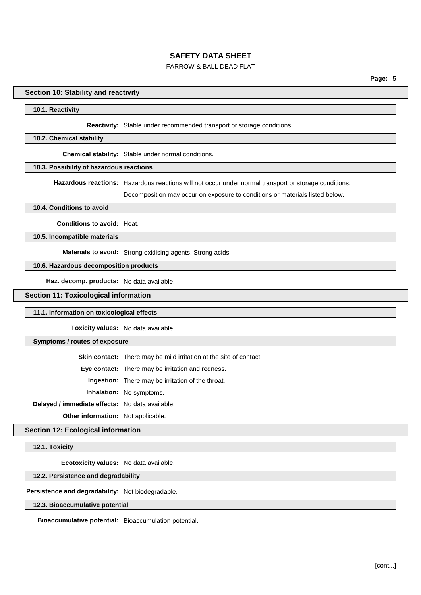## FARROW & BALL DEAD FLAT

### **Section 10: Stability and reactivity**

#### **10.1. Reactivity**

#### **Reactivity:** Stable under recommended transport or storage conditions.

### **10.2. Chemical stability**

**Chemical stability:** Stable under normal conditions.

# **10.3. Possibility of hazardous reactions**

**Hazardous reactions:** Hazardous reactions will not occur under normal transport or storage conditions.

Decomposition may occur on exposure to conditions or materials listed below.

#### **10.4. Conditions to avoid**

**Conditions to avoid:** Heat.

**10.5. Incompatible materials**

**Materials to avoid:** Strong oxidising agents. Strong acids.

### **10.6. Hazardous decomposition products**

**Haz. decomp. products:** No data available.

**Section 11: Toxicological information**

### **11.1. Information on toxicological effects**

**Toxicity values:** No data available.

#### **Symptoms / routes of exposure**

**Skin contact:** There may be mild irritation at the site of contact.

**Eye contact:** There may be irritation and redness.

**Ingestion:** There may be irritation of the throat.

**Inhalation:** No symptoms.

**Delayed / immediate effects:** No data available.

**Other information:** Not applicable.

## **Section 12: Ecological information**

**12.1. Toxicity**

**Ecotoxicity values:** No data available.

**12.2. Persistence and degradability**

**Persistence and degradability:** Not biodegradable.

#### **12.3. Bioaccumulative potential**

**Bioaccumulative potential:** Bioaccumulation potential.